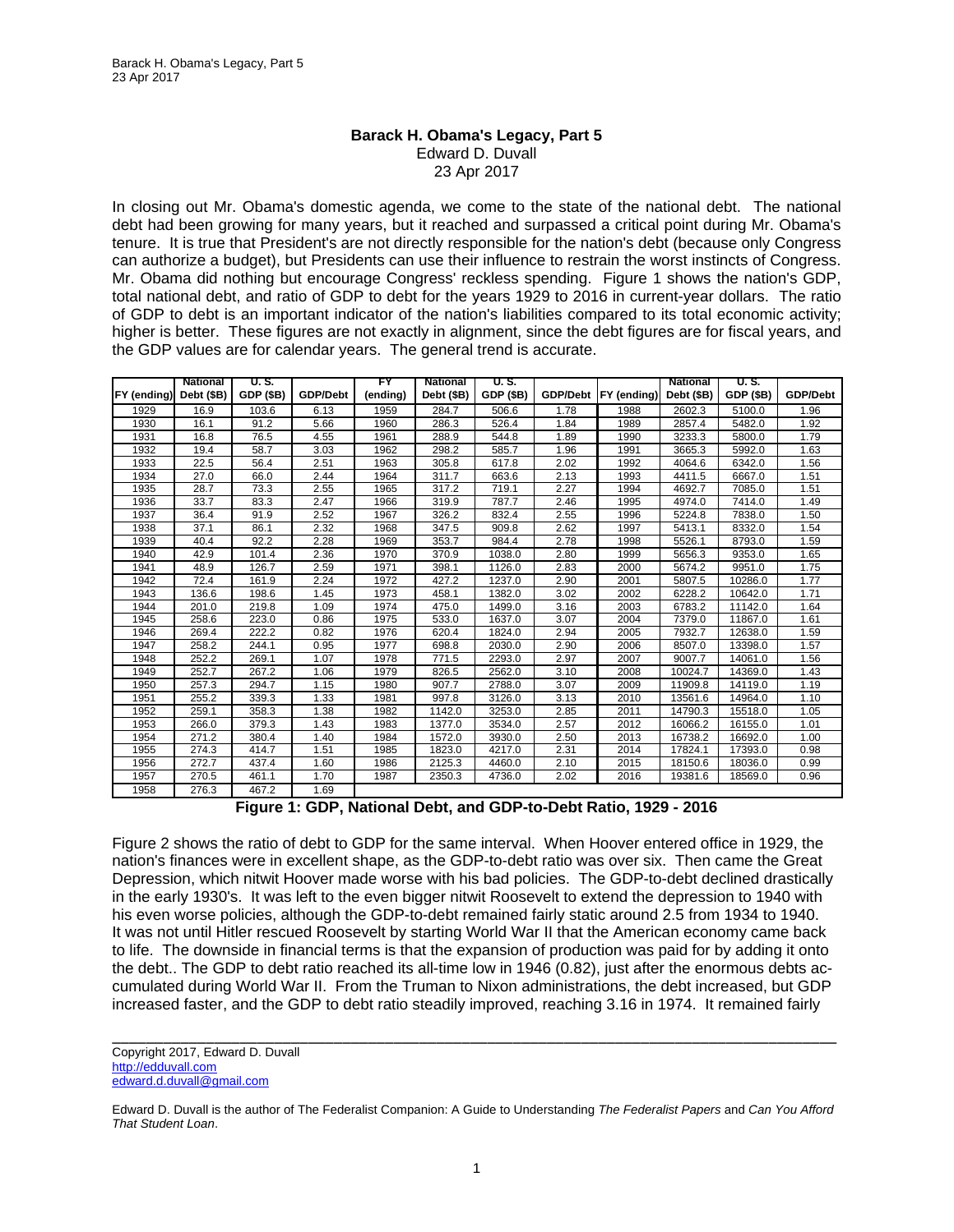## **Barack H. Obama's Legacy, Part 5**  Edward D. Duvall 23 Apr 2017

In closing out Mr. Obama's domestic agenda, we come to the state of the national debt. The national debt had been growing for many years, but it reached and surpassed a critical point during Mr. Obama's tenure. It is true that President's are not directly responsible for the nation's debt (because only Congress can authorize a budget), but Presidents can use their influence to restrain the worst instincts of Congress. Mr. Obama did nothing but encourage Congress' reckless spending. Figure 1 shows the nation's GDP, total national debt, and ratio of GDP to debt for the years 1929 to 2016 in current-year dollars. The ratio of GDP to debt is an important indicator of the nation's liabilities compared to its total economic activity; higher is better. These figures are not exactly in alignment, since the debt figures are for fiscal years, and the GDP values are for calendar years. The general trend is accurate.

|             | <b>National</b> | U. S.            |                 | FY       | <b>National</b> | U. S.            |      |                        | <b>National</b> | U. S.            |          |
|-------------|-----------------|------------------|-----------------|----------|-----------------|------------------|------|------------------------|-----------------|------------------|----------|
| FY (ending) | Debt (\$B)      | <b>GDP (\$B)</b> | <b>GDP/Debt</b> | (ending) | Debt (\$B)      | <b>GDP (\$B)</b> |      | GDP/Debt   FY (ending) | Debt (\$B)      | <b>GDP (\$B)</b> | GDP/Debt |
| 1929        | 16.9            | 103.6            | 6.13            | 1959     | 284.7           | 506.6            | 1.78 | 1988                   | 2602.3          | 5100.0           | 1.96     |
| 1930        | 16.1            | 91.2             | 5.66            | 1960     | 286.3           | 526.4            | 1.84 | 1989                   | 2857.4          | 5482.0           | 1.92     |
| 1931        | 16.8            | 76.5             | 4.55            | 1961     | 288.9           | 544.8            | 1.89 | 1990                   | 3233.3          | 5800.0           | 1.79     |
| 1932        | 19.4            | 58.7             | 3.03            | 1962     | 298.2           | 585.7            | 1.96 | 1991                   | 3665.3          | 5992.0           | 1.63     |
| 1933        | 22.5            | 56.4             | 2.51            | 1963     | 305.8           | 617.8            | 2.02 | 1992                   | 4064.6          | 6342.0           | 1.56     |
| 1934        | 27.0            | 66.0             | 2.44            | 1964     | 311.7           | 663.6            | 2.13 | 1993                   | 4411.5          | 6667.0           | 1.51     |
| 1935        | 28.7            | 73.3             | 2.55            | 1965     | 317.2           | 719.1            | 2.27 | 1994                   | 4692.7          | 7085.0           | 1.51     |
| 1936        | 33.7            | 83.3             | 2.47            | 1966     | 319.9           | 787.7            | 2.46 | 1995                   | 4974.0          | 7414.0           | 1.49     |
| 1937        | 36.4            | 91.9             | 2.52            | 1967     | 326.2           | 832.4            | 2.55 | 1996                   | 5224.8          | 7838.0           | 1.50     |
| 1938        | 37.1            | 86.1             | 2.32            | 1968     | 347.5           | 909.8            | 2.62 | 1997                   | 5413.1          | 8332.0           | 1.54     |
| 1939        | 40.4            | 92.2             | 2.28            | 1969     | 353.7           | 984.4            | 2.78 | 1998                   | 5526.1          | 8793.0           | 1.59     |
| 1940        | 42.9            | 101.4            | 2.36            | 1970     | 370.9           | 1038.0           | 2.80 | 1999                   | 5656.3          | 9353.0           | 1.65     |
| 1941        | 48.9            | 126.7            | 2.59            | 1971     | 398.1           | 1126.0           | 2.83 | 2000                   | 5674.2          | 9951.0           | 1.75     |
| 1942        | 72.4            | 161.9            | 2.24            | 1972     | 427.2           | 1237.0           | 2.90 | 2001                   | 5807.5          | 10286.0          | 1.77     |
| 1943        | 136.6           | 198.6            | 1.45            | 1973     | 458.1           | 1382.0           | 3.02 | 2002                   | 6228.2          | 10642.0          | 1.71     |
| 1944        | 201.0           | 219.8            | 1.09            | 1974     | 475.0           | 1499.0           | 3.16 | 2003                   | 6783.2          | 11142.0          | 1.64     |
| 1945        | 258.6           | 223.0            | 0.86            | 1975     | 533.0           | 1637.0           | 3.07 | 2004                   | 7379.0          | 11867.0          | 1.61     |
| 1946        | 269.4           | 222.2            | 0.82            | 1976     | 620.4           | 1824.0           | 2.94 | 2005                   | 7932.7          | 12638.0          | 1.59     |
| 1947        | 258.2           | 244.1            | 0.95            | 1977     | 698.8           | 2030.0           | 2.90 | 2006                   | 8507.0          | 13398.0          | 1.57     |
| 1948        | 252.2           | 269.1            | 1.07            | 1978     | 771.5           | 2293.0           | 2.97 | 2007                   | 9007.7          | 14061.0          | 1.56     |
| 1949        | 252.7           | 267.2            | 1.06            | 1979     | 826.5           | 2562.0           | 3.10 | 2008                   | 10024.7         | 14369.0          | 1.43     |
| 1950        | 257.3           | 294.7            | 1.15            | 1980     | 907.7           | 2788.0           | 3.07 | 2009                   | 11909.8         | 14119.0          | 1.19     |
| 1951        | 255.2           | 339.3            | 1.33            | 1981     | 997.8           | 3126.0           | 3.13 | 2010                   | 13561.6         | 14964.0          | 1.10     |
| 1952        | 259.1           | 358.3            | 1.38            | 1982     | 1142.0          | 3253.0           | 2.85 | 2011                   | 14790.3         | 15518.0          | 1.05     |
| 1953        | 266.0           | 379.3            | 1.43            | 1983     | 1377.0          | 3534.0           | 2.57 | 2012                   | 16066.2         | 16155.0          | 1.01     |
| 1954        | 271.2           | 380.4            | 1.40            | 1984     | 1572.0          | 3930.0           | 2.50 | 2013                   | 16738.2         | 16692.0          | 1.00     |
| 1955        | 274.3           | 414.7            | 1.51            | 1985     | 1823.0          | 4217.0           | 2.31 | 2014                   | 17824.1         | 17393.0          | 0.98     |
| 1956        | 272.7           | 437.4            | 1.60            | 1986     | 2125.3          | 4460.0           | 2.10 | 2015                   | 18150.6         | 18036.0          | 0.99     |
| 1957        | 270.5           | 461.1            | 1.70            | 1987     | 2350.3          | 4736.0           | 2.02 | 2016                   | 19381.6         | 18569.0          | 0.96     |
| 1958        | 276.3           | 467.2            | 1.69            |          |                 |                  |      |                        |                 |                  |          |

**Figure 1: GDP, National Debt, and GDP-to-Debt Ratio, 1929 - 2016** 

Figure 2 shows the ratio of debt to GDP for the same interval. When Hoover entered office in 1929, the nation's finances were in excellent shape, as the GDP-to-debt ratio was over six. Then came the Great Depression, which nitwit Hoover made worse with his bad policies. The GDP-to-debt declined drastically in the early 1930's. It was left to the even bigger nitwit Roosevelt to extend the depression to 1940 with his even worse policies, although the GDP-to-debt remained fairly static around 2.5 from 1934 to 1940. It was not until Hitler rescued Roosevelt by starting World War II that the American economy came back to life. The downside in financial terms is that the expansion of production was paid for by adding it onto the debt.. The GDP to debt ratio reached its all-time low in 1946 (0.82), just after the enormous debts accumulated during World War II. From the Truman to Nixon administrations, the debt increased, but GDP increased faster, and the GDP to debt ratio steadily improved, reaching 3.16 in 1974. It remained fairly

\_\_\_\_\_\_\_\_\_\_\_\_\_\_\_\_\_\_\_\_\_\_\_\_\_\_\_\_\_\_\_\_\_\_\_\_\_\_\_\_\_\_\_\_\_\_\_\_\_\_\_\_\_\_\_\_\_\_\_\_\_\_\_\_\_\_\_\_\_\_\_\_\_\_\_\_\_\_\_\_\_\_\_\_\_ Copyright 2017, Edward D. Duvall http://edduvall.com edward.d.duvall@gmail.com

Edward D. Duvall is the author of The Federalist Companion: A Guide to Understanding *The Federalist Papers* and *Can You Afford That Student Loan*.